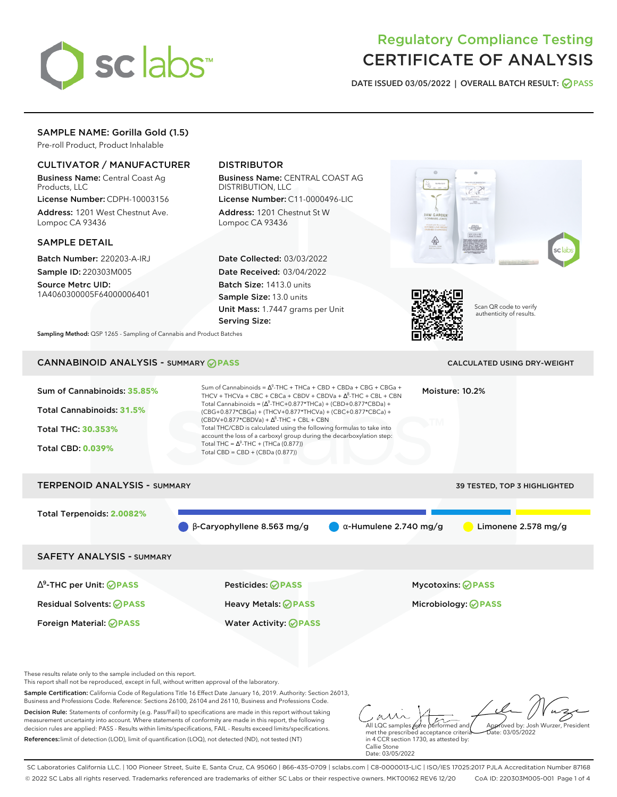

# Regulatory Compliance Testing CERTIFICATE OF ANALYSIS

**DATE ISSUED 03/05/2022 | OVERALL BATCH RESULT: PASS**

## SAMPLE NAME: Gorilla Gold (1.5)

Pre-roll Product, Product Inhalable

## CULTIVATOR / MANUFACTURER

Business Name: Central Coast Ag Products, LLC

License Number: CDPH-10003156 Address: 1201 West Chestnut Ave. Lompoc CA 93436

#### SAMPLE DETAIL

Batch Number: 220203-A-IRJ Sample ID: 220303M005

Source Metrc UID: 1A4060300005F64000006401

# DISTRIBUTOR

Business Name: CENTRAL COAST AG DISTRIBUTION, LLC

License Number: C11-0000496-LIC Address: 1201 Chestnut St W Lompoc CA 93436

Date Collected: 03/03/2022 Date Received: 03/04/2022 Batch Size: 1413.0 units Sample Size: 13.0 units Unit Mass: 1.7447 grams per Unit Serving Size:





Scan QR code to verify authenticity of results.

**Sampling Method:** QSP 1265 - Sampling of Cannabis and Product Batches

# CANNABINOID ANALYSIS - SUMMARY **PASS** CALCULATED USING DRY-WEIGHT

| Sum of Cannabinoids: 35.85%<br>Total Cannabinoids: 31.5%<br><b>Total THC: 30.353%</b><br><b>Total CBD: 0.039%</b> | Sum of Cannabinoids = $\Delta^9$ -THC + THCa + CBD + CBDa + CBG + CBGa +<br>THCV + THCVa + CBC + CBCa + CBDV + CBDVa + $\Delta^8$ -THC + CBL + CBN<br>Total Cannabinoids = $(\Delta^9$ -THC+0.877*THCa) + (CBD+0.877*CBDa) +<br>(CBG+0.877*CBGa) + (THCV+0.877*THCVa) + (CBC+0.877*CBCa) +<br>$(CBDV+0.877*CBDVa) + \Delta^8$ -THC + CBL + CBN<br>Total THC/CBD is calculated using the following formulas to take into<br>account the loss of a carboxyl group during the decarboxylation step:<br>Total THC = $\Delta^9$ -THC + (THCa (0.877))<br>Total CBD = CBD + (CBDa $(0.877)$ ) |                               | Moisture: 10.2%                                 |
|-------------------------------------------------------------------------------------------------------------------|-----------------------------------------------------------------------------------------------------------------------------------------------------------------------------------------------------------------------------------------------------------------------------------------------------------------------------------------------------------------------------------------------------------------------------------------------------------------------------------------------------------------------------------------------------------------------------------------|-------------------------------|-------------------------------------------------|
| <b>TERPENOID ANALYSIS - SUMMARY</b>                                                                               |                                                                                                                                                                                                                                                                                                                                                                                                                                                                                                                                                                                         |                               | 39 TESTED, TOP 3 HIGHLIGHTED                    |
| Total Terpenoids: 2.0082%                                                                                         | $\beta$ -Caryophyllene 8.563 mg/g                                                                                                                                                                                                                                                                                                                                                                                                                                                                                                                                                       | $\alpha$ -Humulene 2.740 mg/g | Limonene $2.578$ mg/g                           |
| <b>SAFETY ANALYSIS - SUMMARY</b>                                                                                  |                                                                                                                                                                                                                                                                                                                                                                                                                                                                                                                                                                                         |                               |                                                 |
| $\Delta^9$ -THC per Unit: <b>PASS</b><br><b>Residual Solvents: ⊘ PASS</b><br>Foreign Material: <b>⊘ PASS</b>      | Pesticides: ⊘PASS<br><b>Heavy Metals: ⊘ PASS</b><br><b>Water Activity: ⊘PASS</b>                                                                                                                                                                                                                                                                                                                                                                                                                                                                                                        |                               | Mycotoxins: ⊘PASS<br>Microbiology: <b>⊘PASS</b> |

These results relate only to the sample included on this report.

This report shall not be reproduced, except in full, without written approval of the laboratory.

Sample Certification: California Code of Regulations Title 16 Effect Date January 16, 2019. Authority: Section 26013, Business and Professions Code. Reference: Sections 26100, 26104 and 26110, Business and Professions Code.

Decision Rule: Statements of conformity (e.g. Pass/Fail) to specifications are made in this report without taking measurement uncertainty into account. Where statements of conformity are made in this report, the following decision rules are applied: PASS - Results within limits/specifications, FAIL - Results exceed limits/specifications. References:limit of detection (LOD), limit of quantification (LOQ), not detected (ND), not tested (NT)

All LQC samples were performed and met the prescribed acceptance criteria Approved by: Josh Wurzer, President Date: 03/05/2022

in 4 CCR section 1730, as attested by: Callie Stone Date: 03/05/2022

SC Laboratories California LLC. | 100 Pioneer Street, Suite E, Santa Cruz, CA 95060 | 866-435-0709 | sclabs.com | C8-0000013-LIC | ISO/IES 17025:2017 PJLA Accreditation Number 87168 © 2022 SC Labs all rights reserved. Trademarks referenced are trademarks of either SC Labs or their respective owners. MKT00162 REV6 12/20 CoA ID: 220303M005-001 Page 1 of 4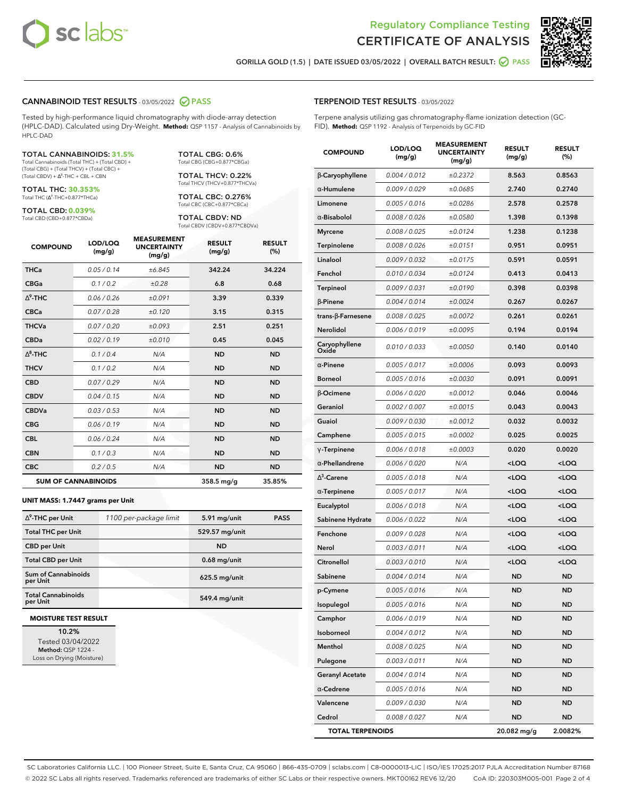



**GORILLA GOLD (1.5) | DATE ISSUED 03/05/2022 | OVERALL BATCH RESULT: PASS**

#### **CANNABINOID TEST RESULTS** - 03/05/2022 **PASS**

Tested by high-performance liquid chromatography with diode-array detection (HPLC-DAD). Calculated using Dry-Weight. **Method:** QSP 1157 - Analysis of Cannabinoids by HPLC-DAD

#### TOTAL CANNABINOIDS: **31.5%**

Total Cannabinoids (Total THC) + (Total CBD) + (Total CBG) + (Total THCV) + (Total CBC) +  $(Total CBDV) +  $\Delta^8$ -THC + CBL + CBN$ 

TOTAL THC: **30.353%** Total THC (Δ<sup>9</sup>-THC+0.877\*THCa)

TOTAL CBD: **0.039%**

Total CBD (CBD+0.877\*CBDa)

TOTAL CBG: 0.6% Total CBG (CBG+0.877\*CBGa)

TOTAL THCV: 0.22% Total THCV (THCV+0.877\*THCVa)

TOTAL CBC: 0.276% Total CBC (CBC+0.877\*CBCa)

TOTAL CBDV: ND Total CBDV (CBDV+0.877\*CBDVa)

| <b>COMPOUND</b> | LOD/LOQ<br>(mg/g)          | <b>MEASUREMENT</b><br><b>UNCERTAINTY</b><br>(mg/g) | <b>RESULT</b><br>(mg/g) | <b>RESULT</b><br>(%) |
|-----------------|----------------------------|----------------------------------------------------|-------------------------|----------------------|
| <b>THCa</b>     | 0.05/0.14                  | ±6.845                                             | 342.24                  | 34.224               |
| <b>CBGa</b>     | 0.1 / 0.2                  | ±0.28                                              | 6.8                     | 0.68                 |
| $\wedge^9$ -THC | 0.06 / 0.26                | ±0.091                                             | 3.39                    | 0.339                |
| <b>CBCa</b>     | 0.07/0.28                  | ±0.120                                             | 3.15                    | 0.315                |
| <b>THCVa</b>    | 0.07/0.20                  | ±0.093                                             | 2.51                    | 0.251                |
| <b>CBDa</b>     | 0.02 / 0.19                | ±0.010                                             | 0.45                    | 0.045                |
| $\wedge^8$ -THC | 0.1/0.4                    | N/A                                                | <b>ND</b>               | <b>ND</b>            |
| <b>THCV</b>     | 0.1/0.2                    | N/A                                                | <b>ND</b>               | <b>ND</b>            |
| <b>CBD</b>      | 0.07/0.29                  | N/A                                                | <b>ND</b>               | <b>ND</b>            |
| <b>CBDV</b>     | 0.04 / 0.15                | N/A                                                | <b>ND</b>               | <b>ND</b>            |
| <b>CBDVa</b>    | 0.03 / 0.53                | N/A                                                | <b>ND</b>               | <b>ND</b>            |
| <b>CBG</b>      | 0.06/0.19                  | N/A                                                | <b>ND</b>               | <b>ND</b>            |
| <b>CBL</b>      | 0.06 / 0.24                | N/A                                                | <b>ND</b>               | <b>ND</b>            |
| <b>CBN</b>      | 0.1/0.3                    | N/A                                                | <b>ND</b>               | <b>ND</b>            |
| <b>CBC</b>      | 0.2 / 0.5                  | N/A                                                | <b>ND</b>               | <b>ND</b>            |
|                 | <b>SUM OF CANNABINOIDS</b> |                                                    | $358.5$ mg/g            | 35.85%               |

#### **UNIT MASS: 1.7447 grams per Unit**

| $\Delta^9$ -THC per Unit               | 1100 per-package limit | 5.91 mg/unit    | <b>PASS</b> |
|----------------------------------------|------------------------|-----------------|-------------|
| <b>Total THC per Unit</b>              |                        | 529.57 mg/unit  |             |
| <b>CBD</b> per Unit                    |                        | <b>ND</b>       |             |
| <b>Total CBD per Unit</b>              |                        | $0.68$ mg/unit  |             |
| <b>Sum of Cannabinoids</b><br>per Unit |                        | $625.5$ mg/unit |             |
| <b>Total Cannabinoids</b><br>per Unit  |                        | 549.4 mg/unit   |             |

#### **MOISTURE TEST RESULT**

**10.2%** Tested 03/04/2022 **Method:** QSP 1224 - Loss on Drying (Moisture)

#### **TERPENOID TEST RESULTS** - 03/05/2022

Terpene analysis utilizing gas chromatography-flame ionization detection (GC-FID). **Method:** QSP 1192 - Analysis of Terpenoids by GC-FID

| <b>COMPOUND</b>         | LOD/LOQ<br>(mg/g) | <b>MEASUREMENT</b><br><b>UNCERTAINTY</b><br>(mg/g) | <b>RESULT</b><br>(mg/g)                         | <b>RESULT</b><br>$(\%)$ |
|-------------------------|-------------------|----------------------------------------------------|-------------------------------------------------|-------------------------|
| β-Caryophyllene         | 0.004 / 0.012     | ±0.2372                                            | 8.563                                           | 0.8563                  |
| α-Humulene              | 0.009/0.029       | ±0.0685                                            | 2.740                                           | 0.2740                  |
| Limonene                | 0.005 / 0.016     | ±0.0286                                            | 2.578                                           | 0.2578                  |
| $\alpha$ -Bisabolol     | 0.008 / 0.026     | ±0.0580                                            | 1.398                                           | 0.1398                  |
| <b>Myrcene</b>          | 0.008 / 0.025     | ±0.0124                                            | 1.238                                           | 0.1238                  |
| Terpinolene             | 0.008 / 0.026     | ±0.0151                                            | 0.951                                           | 0.0951                  |
| Linalool                | 0.009 / 0.032     | ±0.0175                                            | 0.591                                           | 0.0591                  |
| Fenchol                 | 0.010 / 0.034     | ±0.0124                                            | 0.413                                           | 0.0413                  |
| Terpineol               | 0.009 / 0.031     | ±0.0190                                            | 0.398                                           | 0.0398                  |
| $\beta$ -Pinene         | 0.004 / 0.014     | ±0.0024                                            | 0.267                                           | 0.0267                  |
| trans-ß-Farnesene       | 0.008 / 0.025     | ±0.0072                                            | 0.261                                           | 0.0261                  |
| Nerolidol               | 0.006 / 0.019     | ±0.0095                                            | 0.194                                           | 0.0194                  |
| Caryophyllene<br>Oxide  | 0.010 / 0.033     | ±0.0050                                            | 0.140                                           | 0.0140                  |
| $\alpha$ -Pinene        | 0.005 / 0.017     | ±0.0006                                            | 0.093                                           | 0.0093                  |
| <b>Borneol</b>          | 0.005 / 0.016     | ±0.0030                                            | 0.091                                           | 0.0091                  |
| β-Ocimene               | 0.006 / 0.020     | ±0.0012                                            | 0.046                                           | 0.0046                  |
| Geraniol                | 0.002 / 0.007     | ±0.0015                                            | 0.043                                           | 0.0043                  |
| Guaiol                  | 0.009 / 0.030     | ±0.0012                                            | 0.032                                           | 0.0032                  |
| Camphene                | 0.005 / 0.015     | ±0.0002                                            | 0.025                                           | 0.0025                  |
| $\gamma$ -Terpinene     | 0.006 / 0.018     | ±0.0003                                            | 0.020                                           | 0.0020                  |
| $\alpha$ -Phellandrene  | 0.006 / 0.020     | N/A                                                | <loq< th=""><th><loq< th=""></loq<></th></loq<> | <loq< th=""></loq<>     |
| $\Delta^3$ -Carene      | 0.005 / 0.018     | N/A                                                | <loq< th=""><th><loq< th=""></loq<></th></loq<> | <loq< th=""></loq<>     |
| $\alpha$ -Terpinene     | 0.005 / 0.017     | N/A                                                | <loq< th=""><th><loq< th=""></loq<></th></loq<> | <loq< th=""></loq<>     |
| Eucalyptol              | 0.006 / 0.018     | N/A                                                | <loq< th=""><th><loq< th=""></loq<></th></loq<> | <loq< th=""></loq<>     |
| Sabinene Hydrate        | 0.006 / 0.022     | N/A                                                | <loq< th=""><th><loq< th=""></loq<></th></loq<> | <loq< th=""></loq<>     |
| Fenchone                | 0.009 / 0.028     | N/A                                                | <loq< th=""><th><loq< th=""></loq<></th></loq<> | <loq< th=""></loq<>     |
| Nerol                   | 0.003 / 0.011     | N/A                                                | <loq< th=""><th><loq< th=""></loq<></th></loq<> | <loq< th=""></loq<>     |
| Citronellol             | 0.003 / 0.010     | N/A                                                | <loq< th=""><th><loq< th=""></loq<></th></loq<> | <loq< th=""></loq<>     |
| Sabinene                | 0.004 / 0.014     | N/A                                                | ND                                              | <b>ND</b>               |
| p-Cymene                | 0.005 / 0.016     | N/A                                                | <b>ND</b>                                       | ND                      |
| Isopulegol              | 0.005 / 0.016     | N/A                                                | ND                                              | ND                      |
| Camphor                 | 0.006 / 0.019     | N/A                                                | ND                                              | ND                      |
| Isoborneol              | 0.004 / 0.012     | N/A                                                | ND                                              | <b>ND</b>               |
| Menthol                 | 0.008 / 0.025     | N/A                                                | <b>ND</b>                                       | <b>ND</b>               |
| Pulegone                | 0.003 / 0.011     | N/A                                                | ND                                              | ND                      |
| <b>Geranyl Acetate</b>  | 0.004 / 0.014     | N/A                                                | ND                                              | ND                      |
| $\alpha$ -Cedrene       | 0.005 / 0.016     | N/A                                                | <b>ND</b>                                       | ND                      |
| Valencene               | 0.009 / 0.030     | N/A                                                | ND                                              | ND                      |
| Cedrol                  | 0.008 / 0.027     | N/A                                                | <b>ND</b>                                       | <b>ND</b>               |
| <b>TOTAL TERPENOIDS</b> |                   |                                                    | 20.082 mg/g                                     | 2.0082%                 |

SC Laboratories California LLC. | 100 Pioneer Street, Suite E, Santa Cruz, CA 95060 | 866-435-0709 | sclabs.com | C8-0000013-LIC | ISO/IES 17025:2017 PJLA Accreditation Number 87168 © 2022 SC Labs all rights reserved. Trademarks referenced are trademarks of either SC Labs or their respective owners. MKT00162 REV6 12/20 CoA ID: 220303M005-001 Page 2 of 4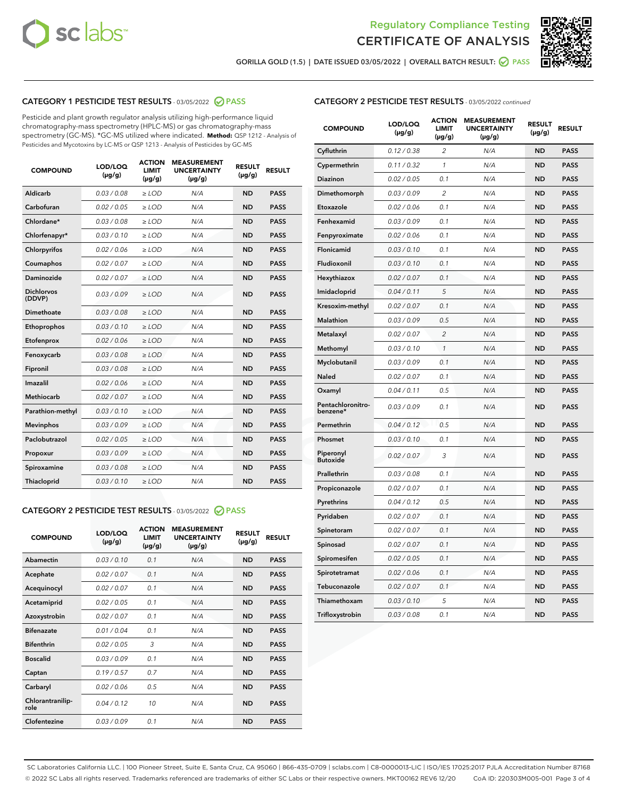



**GORILLA GOLD (1.5) | DATE ISSUED 03/05/2022 | OVERALL BATCH RESULT: PASS**

### **CATEGORY 1 PESTICIDE TEST RESULTS** - 03/05/2022 **PASS**

Pesticide and plant growth regulator analysis utilizing high-performance liquid chromatography-mass spectrometry (HPLC-MS) or gas chromatography-mass spectrometry (GC-MS). \*GC-MS utilized where indicated. **Method:** QSP 1212 - Analysis of Pesticides and Mycotoxins by LC-MS or QSP 1213 - Analysis of Pesticides by GC-MS

| 0.03 / 0.08<br>Aldicarb<br>$\ge$ LOD<br>N/A<br><b>ND</b><br><b>PASS</b><br>Carbofuran<br><b>ND</b><br>0.02 / 0.05<br>$\ge$ LOD<br>N/A<br><b>PASS</b><br>Chlordane*<br>0.03 / 0.08<br>$\ge$ LOD<br>N/A<br><b>ND</b><br><b>PASS</b><br>Chlorfenapyr*<br>0.03/0.10<br>N/A<br><b>ND</b><br><b>PASS</b><br>$\ge$ LOD<br>Chlorpyrifos<br>0.02/0.06<br>$>$ LOD<br>N/A<br><b>ND</b><br><b>PASS</b><br>0.02 / 0.07<br>N/A<br><b>ND</b><br>Coumaphos<br>$\ge$ LOD<br><b>PASS</b><br>Daminozide<br>0.02 / 0.07<br>N/A<br><b>ND</b><br>$\ge$ LOD<br><b>PASS</b><br><b>Dichlorvos</b><br>0.03/0.09<br>N/A<br>$>$ LOD<br><b>ND</b><br><b>PASS</b><br>(DDVP)<br>Dimethoate<br>0.03 / 0.08<br>N/A<br><b>ND</b><br><b>PASS</b><br>$\ge$ LOD<br><b>ND</b><br><b>PASS</b><br>0.03/0.10<br>$>$ LOD<br>N/A<br>Ethoprophos<br>0.02 / 0.06<br><b>ND</b><br><b>PASS</b><br>Etofenprox<br>$\ge$ LOD<br>N/A<br>0.03 / 0.08<br>N/A<br><b>ND</b><br><b>PASS</b><br>Fenoxycarb<br>$\ge$ LOD<br>0.03 / 0.08<br>N/A<br><b>ND</b><br><b>PASS</b><br>Fipronil<br>$\ge$ LOD<br>Imazalil<br>0.02 / 0.06<br>$>$ LOD<br>N/A<br><b>ND</b><br><b>PASS</b><br><b>Methiocarb</b><br>0.02 / 0.07<br><b>ND</b><br><b>PASS</b><br>$\ge$ LOD<br>N/A<br>0.03/0.10<br>N/A<br><b>ND</b><br><b>PASS</b><br>Parathion-methyl<br>$\ge$ LOD<br>0.03/0.09<br>N/A<br><b>ND</b><br><b>PASS</b><br><b>Mevinphos</b><br>$\ge$ LOD<br>Paclobutrazol<br>0.02 / 0.05<br>N/A<br><b>ND</b><br><b>PASS</b><br>$\ge$ LOD<br>0.03/0.09<br>$>$ LOD<br>N/A<br><b>ND</b><br><b>PASS</b><br>Propoxur<br>0.03 / 0.08<br>$\ge$ LOD<br>N/A<br><b>ND</b><br><b>PASS</b><br>Spiroxamine<br>0.03/0.10<br>N/A<br><b>ND</b><br><b>PASS</b><br>Thiacloprid<br>$\ge$ LOD | <b>COMPOUND</b> | LOD/LOQ<br>$(\mu g/g)$ | <b>ACTION</b><br><b>LIMIT</b><br>$(\mu g/g)$ | <b>MEASUREMENT</b><br><b>UNCERTAINTY</b><br>$(\mu g/g)$ | <b>RESULT</b><br>$(\mu g/g)$ | <b>RESULT</b> |
|-------------------------------------------------------------------------------------------------------------------------------------------------------------------------------------------------------------------------------------------------------------------------------------------------------------------------------------------------------------------------------------------------------------------------------------------------------------------------------------------------------------------------------------------------------------------------------------------------------------------------------------------------------------------------------------------------------------------------------------------------------------------------------------------------------------------------------------------------------------------------------------------------------------------------------------------------------------------------------------------------------------------------------------------------------------------------------------------------------------------------------------------------------------------------------------------------------------------------------------------------------------------------------------------------------------------------------------------------------------------------------------------------------------------------------------------------------------------------------------------------------------------------------------------------------------------------------------------------------------------------------------------------------------------------------------------|-----------------|------------------------|----------------------------------------------|---------------------------------------------------------|------------------------------|---------------|
|                                                                                                                                                                                                                                                                                                                                                                                                                                                                                                                                                                                                                                                                                                                                                                                                                                                                                                                                                                                                                                                                                                                                                                                                                                                                                                                                                                                                                                                                                                                                                                                                                                                                                           |                 |                        |                                              |                                                         |                              |               |
|                                                                                                                                                                                                                                                                                                                                                                                                                                                                                                                                                                                                                                                                                                                                                                                                                                                                                                                                                                                                                                                                                                                                                                                                                                                                                                                                                                                                                                                                                                                                                                                                                                                                                           |                 |                        |                                              |                                                         |                              |               |
|                                                                                                                                                                                                                                                                                                                                                                                                                                                                                                                                                                                                                                                                                                                                                                                                                                                                                                                                                                                                                                                                                                                                                                                                                                                                                                                                                                                                                                                                                                                                                                                                                                                                                           |                 |                        |                                              |                                                         |                              |               |
|                                                                                                                                                                                                                                                                                                                                                                                                                                                                                                                                                                                                                                                                                                                                                                                                                                                                                                                                                                                                                                                                                                                                                                                                                                                                                                                                                                                                                                                                                                                                                                                                                                                                                           |                 |                        |                                              |                                                         |                              |               |
|                                                                                                                                                                                                                                                                                                                                                                                                                                                                                                                                                                                                                                                                                                                                                                                                                                                                                                                                                                                                                                                                                                                                                                                                                                                                                                                                                                                                                                                                                                                                                                                                                                                                                           |                 |                        |                                              |                                                         |                              |               |
|                                                                                                                                                                                                                                                                                                                                                                                                                                                                                                                                                                                                                                                                                                                                                                                                                                                                                                                                                                                                                                                                                                                                                                                                                                                                                                                                                                                                                                                                                                                                                                                                                                                                                           |                 |                        |                                              |                                                         |                              |               |
|                                                                                                                                                                                                                                                                                                                                                                                                                                                                                                                                                                                                                                                                                                                                                                                                                                                                                                                                                                                                                                                                                                                                                                                                                                                                                                                                                                                                                                                                                                                                                                                                                                                                                           |                 |                        |                                              |                                                         |                              |               |
|                                                                                                                                                                                                                                                                                                                                                                                                                                                                                                                                                                                                                                                                                                                                                                                                                                                                                                                                                                                                                                                                                                                                                                                                                                                                                                                                                                                                                                                                                                                                                                                                                                                                                           |                 |                        |                                              |                                                         |                              |               |
|                                                                                                                                                                                                                                                                                                                                                                                                                                                                                                                                                                                                                                                                                                                                                                                                                                                                                                                                                                                                                                                                                                                                                                                                                                                                                                                                                                                                                                                                                                                                                                                                                                                                                           |                 |                        |                                              |                                                         |                              |               |
|                                                                                                                                                                                                                                                                                                                                                                                                                                                                                                                                                                                                                                                                                                                                                                                                                                                                                                                                                                                                                                                                                                                                                                                                                                                                                                                                                                                                                                                                                                                                                                                                                                                                                           |                 |                        |                                              |                                                         |                              |               |
|                                                                                                                                                                                                                                                                                                                                                                                                                                                                                                                                                                                                                                                                                                                                                                                                                                                                                                                                                                                                                                                                                                                                                                                                                                                                                                                                                                                                                                                                                                                                                                                                                                                                                           |                 |                        |                                              |                                                         |                              |               |
|                                                                                                                                                                                                                                                                                                                                                                                                                                                                                                                                                                                                                                                                                                                                                                                                                                                                                                                                                                                                                                                                                                                                                                                                                                                                                                                                                                                                                                                                                                                                                                                                                                                                                           |                 |                        |                                              |                                                         |                              |               |
|                                                                                                                                                                                                                                                                                                                                                                                                                                                                                                                                                                                                                                                                                                                                                                                                                                                                                                                                                                                                                                                                                                                                                                                                                                                                                                                                                                                                                                                                                                                                                                                                                                                                                           |                 |                        |                                              |                                                         |                              |               |
|                                                                                                                                                                                                                                                                                                                                                                                                                                                                                                                                                                                                                                                                                                                                                                                                                                                                                                                                                                                                                                                                                                                                                                                                                                                                                                                                                                                                                                                                                                                                                                                                                                                                                           |                 |                        |                                              |                                                         |                              |               |
|                                                                                                                                                                                                                                                                                                                                                                                                                                                                                                                                                                                                                                                                                                                                                                                                                                                                                                                                                                                                                                                                                                                                                                                                                                                                                                                                                                                                                                                                                                                                                                                                                                                                                           |                 |                        |                                              |                                                         |                              |               |
|                                                                                                                                                                                                                                                                                                                                                                                                                                                                                                                                                                                                                                                                                                                                                                                                                                                                                                                                                                                                                                                                                                                                                                                                                                                                                                                                                                                                                                                                                                                                                                                                                                                                                           |                 |                        |                                              |                                                         |                              |               |
|                                                                                                                                                                                                                                                                                                                                                                                                                                                                                                                                                                                                                                                                                                                                                                                                                                                                                                                                                                                                                                                                                                                                                                                                                                                                                                                                                                                                                                                                                                                                                                                                                                                                                           |                 |                        |                                              |                                                         |                              |               |
|                                                                                                                                                                                                                                                                                                                                                                                                                                                                                                                                                                                                                                                                                                                                                                                                                                                                                                                                                                                                                                                                                                                                                                                                                                                                                                                                                                                                                                                                                                                                                                                                                                                                                           |                 |                        |                                              |                                                         |                              |               |
|                                                                                                                                                                                                                                                                                                                                                                                                                                                                                                                                                                                                                                                                                                                                                                                                                                                                                                                                                                                                                                                                                                                                                                                                                                                                                                                                                                                                                                                                                                                                                                                                                                                                                           |                 |                        |                                              |                                                         |                              |               |
|                                                                                                                                                                                                                                                                                                                                                                                                                                                                                                                                                                                                                                                                                                                                                                                                                                                                                                                                                                                                                                                                                                                                                                                                                                                                                                                                                                                                                                                                                                                                                                                                                                                                                           |                 |                        |                                              |                                                         |                              |               |
|                                                                                                                                                                                                                                                                                                                                                                                                                                                                                                                                                                                                                                                                                                                                                                                                                                                                                                                                                                                                                                                                                                                                                                                                                                                                                                                                                                                                                                                                                                                                                                                                                                                                                           |                 |                        |                                              |                                                         |                              |               |

#### **CATEGORY 2 PESTICIDE TEST RESULTS** - 03/05/2022 **PASS**

| <b>COMPOUND</b>          | LOD/LOQ<br>$(\mu g/g)$ | <b>ACTION</b><br><b>LIMIT</b><br>$(\mu g/g)$ | <b>MEASUREMENT</b><br><b>UNCERTAINTY</b><br>$(\mu g/g)$ | <b>RESULT</b><br>$(\mu g/g)$ | <b>RESULT</b> |  |
|--------------------------|------------------------|----------------------------------------------|---------------------------------------------------------|------------------------------|---------------|--|
| Abamectin                | 0.03/0.10              | 0.1                                          | N/A                                                     | <b>ND</b>                    | <b>PASS</b>   |  |
| Acephate                 | 0.02/0.07              | 0.1                                          | N/A                                                     | <b>ND</b>                    | <b>PASS</b>   |  |
| Acequinocyl              | 0.02/0.07              | 0.1                                          | N/A                                                     | <b>ND</b>                    | <b>PASS</b>   |  |
| Acetamiprid              | 0.02/0.05              | 0.1                                          | N/A                                                     | <b>ND</b>                    | <b>PASS</b>   |  |
| Azoxystrobin             | 0.02/0.07              | 0.1                                          | N/A                                                     | <b>ND</b>                    | <b>PASS</b>   |  |
| <b>Bifenazate</b>        | 0.01/0.04              | 0.1                                          | N/A                                                     | <b>ND</b>                    | <b>PASS</b>   |  |
| <b>Bifenthrin</b>        | 0.02 / 0.05            | 3                                            | N/A                                                     | <b>ND</b>                    | <b>PASS</b>   |  |
| <b>Boscalid</b>          | 0.03/0.09              | 0.1                                          | N/A                                                     | <b>ND</b>                    | <b>PASS</b>   |  |
| Captan                   | 0.19/0.57              | 0.7                                          | N/A                                                     | <b>ND</b>                    | <b>PASS</b>   |  |
| Carbaryl                 | 0.02/0.06              | 0.5                                          | N/A                                                     | <b>ND</b>                    | <b>PASS</b>   |  |
| Chlorantranilip-<br>role | 0.04/0.12              | 10                                           | N/A                                                     | <b>ND</b>                    | <b>PASS</b>   |  |
| Clofentezine             | 0.03/0.09              | 0.1                                          | N/A                                                     | <b>ND</b>                    | <b>PASS</b>   |  |

| <b>CATEGORY 2 PESTICIDE TEST RESULTS</b> - 03/05/2022 continued |
|-----------------------------------------------------------------|
|-----------------------------------------------------------------|

| <b>COMPOUND</b>               | LOD/LOQ<br>(µg/g) | <b>ACTION</b><br><b>LIMIT</b><br>(µg/g) | <b>MEASUREMENT</b><br><b>UNCERTAINTY</b><br>(µg/g) | <b>RESULT</b><br>(µg/g) | <b>RESULT</b> |
|-------------------------------|-------------------|-----------------------------------------|----------------------------------------------------|-------------------------|---------------|
| Cyfluthrin                    | 0.12 / 0.38       | 2                                       | N/A                                                | <b>ND</b>               | <b>PASS</b>   |
| Cypermethrin                  | 0.11/0.32         | $\mathcal{I}$                           | N/A                                                | <b>ND</b>               | <b>PASS</b>   |
| <b>Diazinon</b>               | 0.02 / 0.05       | 0.1                                     | N/A                                                | <b>ND</b>               | <b>PASS</b>   |
| Dimethomorph                  | 0.03 / 0.09       | 2                                       | N/A                                                | <b>ND</b>               | <b>PASS</b>   |
| Etoxazole                     | 0.02 / 0.06       | 0.1                                     | N/A                                                | <b>ND</b>               | <b>PASS</b>   |
| Fenhexamid                    | 0.03 / 0.09       | 0.1                                     | N/A                                                | <b>ND</b>               | <b>PASS</b>   |
| Fenpyroximate                 | 0.02 / 0.06       | 0.1                                     | N/A                                                | <b>ND</b>               | <b>PASS</b>   |
| Flonicamid                    | 0.03 / 0.10       | 0.1                                     | N/A                                                | ND                      | <b>PASS</b>   |
| Fludioxonil                   | 0.03/0.10         | 0.1                                     | N/A                                                | ND                      | <b>PASS</b>   |
| Hexythiazox                   | 0.02 / 0.07       | 0.1                                     | N/A                                                | <b>ND</b>               | <b>PASS</b>   |
| Imidacloprid                  | 0.04 / 0.11       | 5                                       | N/A                                                | <b>ND</b>               | <b>PASS</b>   |
| Kresoxim-methyl               | 0.02 / 0.07       | 0.1                                     | N/A                                                | <b>ND</b>               | <b>PASS</b>   |
| Malathion                     | 0.03 / 0.09       | 0.5                                     | N/A                                                | <b>ND</b>               | <b>PASS</b>   |
| Metalaxyl                     | 0.02 / 0.07       | $\overline{c}$                          | N/A                                                | <b>ND</b>               | <b>PASS</b>   |
| Methomyl                      | 0.03 / 0.10       | $\mathcal{I}$                           | N/A                                                | <b>ND</b>               | <b>PASS</b>   |
| Myclobutanil                  | 0.03/0.09         | 0.1                                     | N/A                                                | <b>ND</b>               | <b>PASS</b>   |
| Naled                         | 0.02 / 0.07       | 0.1                                     | N/A                                                | <b>ND</b>               | <b>PASS</b>   |
| Oxamyl                        | 0.04 / 0.11       | 0.5                                     | N/A                                                | <b>ND</b>               | <b>PASS</b>   |
| Pentachloronitro-<br>benzene* | 0.03/0.09         | 0.1                                     | N/A                                                | ND                      | <b>PASS</b>   |
| Permethrin                    | 0.04 / 0.12       | 0.5                                     | N/A                                                | <b>ND</b>               | <b>PASS</b>   |
| Phosmet                       | 0.03 / 0.10       | 0.1                                     | N/A                                                | ND                      | <b>PASS</b>   |
| Piperonyl<br><b>Butoxide</b>  | 0.02 / 0.07       | 3                                       | N/A                                                | <b>ND</b>               | <b>PASS</b>   |
| Prallethrin                   | 0.03 / 0.08       | 0.1                                     | N/A                                                | <b>ND</b>               | <b>PASS</b>   |
| Propiconazole                 | 0.02 / 0.07       | 0.1                                     | N/A                                                | <b>ND</b>               | <b>PASS</b>   |
| Pyrethrins                    | 0.04 / 0.12       | 0.5                                     | N/A                                                | <b>ND</b>               | <b>PASS</b>   |
| Pyridaben                     | 0.02 / 0.07       | 0.1                                     | N/A                                                | <b>ND</b>               | <b>PASS</b>   |
| Spinetoram                    | 0.02 / 0.07       | 0.1                                     | N/A                                                | <b>ND</b>               | <b>PASS</b>   |
| Spinosad                      | 0.02 / 0.07       | 0.1                                     | N/A                                                | <b>ND</b>               | <b>PASS</b>   |
| Spiromesifen                  | 0.02 / 0.05       | 0.1                                     | N/A                                                | ND                      | PASS          |
| Spirotetramat                 | 0.02 / 0.06       | 0.1                                     | N/A                                                | <b>ND</b>               | <b>PASS</b>   |
| Tebuconazole                  | 0.02 / 0.07       | 0.1                                     | N/A                                                | <b>ND</b>               | <b>PASS</b>   |
| Thiamethoxam                  | 0.03 / 0.10       | 5                                       | N/A                                                | <b>ND</b>               | <b>PASS</b>   |
| Trifloxystrobin               | 0.03 / 0.08       | 0.1                                     | N/A                                                | ND                      | <b>PASS</b>   |

SC Laboratories California LLC. | 100 Pioneer Street, Suite E, Santa Cruz, CA 95060 | 866-435-0709 | sclabs.com | C8-0000013-LIC | ISO/IES 17025:2017 PJLA Accreditation Number 87168 © 2022 SC Labs all rights reserved. Trademarks referenced are trademarks of either SC Labs or their respective owners. MKT00162 REV6 12/20 CoA ID: 220303M005-001 Page 3 of 4